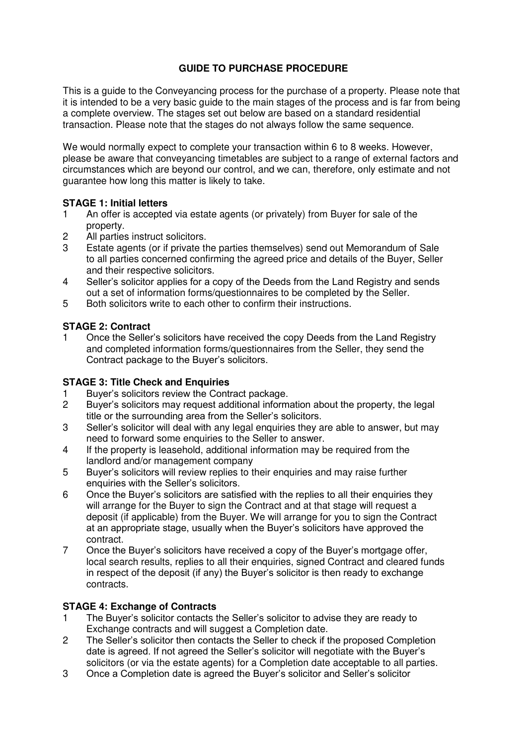# **GUIDE TO PURCHASE PROCEDURE**

This is a guide to the Conveyancing process for the purchase of a property. Please note that it is intended to be a very basic guide to the main stages of the process and is far from being a complete overview. The stages set out below are based on a standard residential transaction. Please note that the stages do not always follow the same sequence.

We would normally expect to complete your transaction within 6 to 8 weeks. However, please be aware that conveyancing timetables are subject to a range of external factors and circumstances which are beyond our control, and we can, therefore, only estimate and not guarantee how long this matter is likely to take.

#### **STAGE 1: Initial letters**

- 1 An offer is accepted via estate agents (or privately) from Buyer for sale of the property.
- 2 All parties instruct solicitors.
- 3 Estate agents (or if private the parties themselves) send out Memorandum of Sale to all parties concerned confirming the agreed price and details of the Buyer, Seller and their respective solicitors.
- 4 Seller's solicitor applies for a copy of the Deeds from the Land Registry and sends out a set of information forms/questionnaires to be completed by the Seller.
- 5 Both solicitors write to each other to confirm their instructions.

## **STAGE 2: Contract**

1 Once the Seller's solicitors have received the copy Deeds from the Land Registry and completed information forms/questionnaires from the Seller, they send the Contract package to the Buyer's solicitors.

#### **STAGE 3: Title Check and Enquiries**

- 1 Buyer's solicitors review the Contract package.<br>2 Buyer's solicitors may request additional inform
- Buyer's solicitors may request additional information about the property, the legal title or the surrounding area from the Seller's solicitors.
- 3 Seller's solicitor will deal with any legal enquiries they are able to answer, but may need to forward some enquiries to the Seller to answer.
- 4 If the property is leasehold, additional information may be required from the landlord and/or management company
- 5 Buyer's solicitors will review replies to their enquiries and may raise further enquiries with the Seller's solicitors.
- 6 Once the Buyer's solicitors are satisfied with the replies to all their enquiries they will arrange for the Buyer to sign the Contract and at that stage will request a deposit (if applicable) from the Buyer. We will arrange for you to sign the Contract at an appropriate stage, usually when the Buyer's solicitors have approved the contract.
- 7 Once the Buyer's solicitors have received a copy of the Buyer's mortgage offer, local search results, replies to all their enquiries, signed Contract and cleared funds in respect of the deposit (if any) the Buyer's solicitor is then ready to exchange contracts.

#### **STAGE 4: Exchange of Contracts**

- 1 The Buyer's solicitor contacts the Seller's solicitor to advise they are ready to Exchange contracts and will suggest a Completion date.
- 2 The Seller's solicitor then contacts the Seller to check if the proposed Completion date is agreed. If not agreed the Seller's solicitor will negotiate with the Buyer's solicitors (or via the estate agents) for a Completion date acceptable to all parties.
- 3 Once a Completion date is agreed the Buyer's solicitor and Seller's solicitor